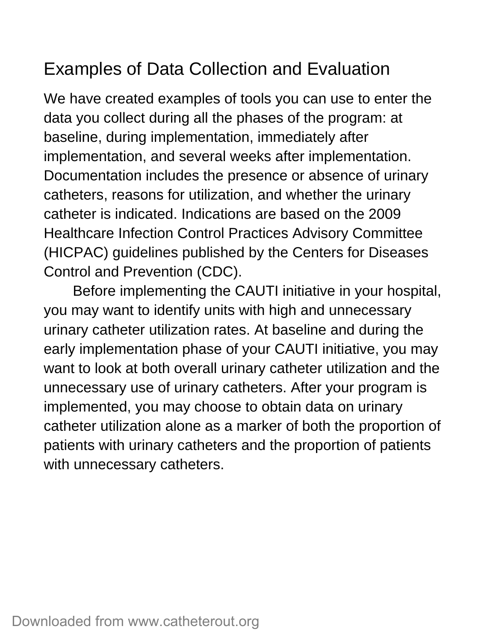# Examples of Data Collection and Evaluation

We have created examples of tools you can use to enter the data you collect during all the phases of the program: at baseline, during implementation, immediately after implementation, and several weeks after implementation. Documentation includes the presence or absence of urinary catheters, reasons for utilization, and whether the urinary catheter is indicated. Indications are based on the 2009 Healthcare Infection Control Practices Advisory Committee (HICPAC) guidelines published by the Centers for Diseases Control and Prevention (CDC).

Before implementing the CAUTI initiative in your hospital, you may want to identify units with high and unnecessary urinary catheter utilization rates. At baseline and during the early implementation phase of your CAUTI initiative, you may want to look at both overall urinary catheter utilization and the unnecessary use of urinary catheters. After your program is implemented, you may choose to obtain data on urinary catheter utilization alone as a marker of both the proportion of patients with urinary catheters and the proportion of patients with unnecessary catheters.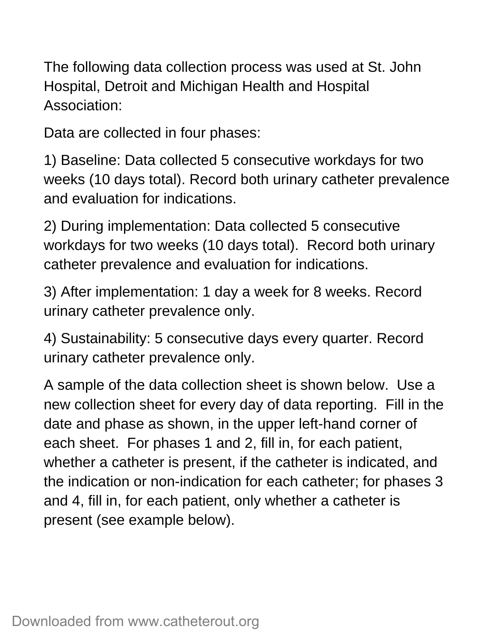The following data collection process was used at St. John Hospital, Detroit and Michigan Health and Hospital Association:

Data are collected in four phases:

1) Baseline: Data collected 5 consecutive workdays for two weeks (10 days total). Record both urinary catheter prevalence and evaluation for indications.

2) During implementation: Data collected 5 consecutive workdays for two weeks (10 days total). Record both urinary catheter prevalence and evaluation for indications.

3) After implementation: 1 day a week for 8 weeks. Record urinary catheter prevalence only.

4) Sustainability: 5 consecutive days every quarter. Record urinary catheter prevalence only.

A sample of the data collection sheet is shown below. Use a new collection sheet for every day of data reporting. Fill in the date and phase as shown, in the upper left-hand corner of each sheet. For phases 1 and 2, fill in, for each patient, whether a catheter is present, if the catheter is indicated, and the indication or non-indication for each catheter; for phases 3 and 4, fill in, for each patient, only whether a catheter is present (see example below).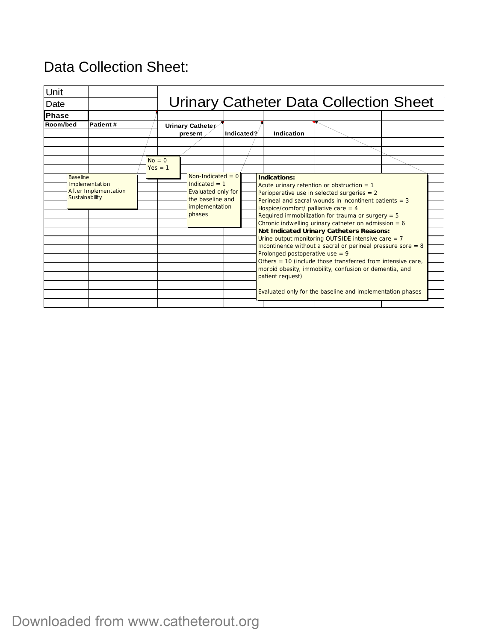#### Unit Date **Phase Room/bed Patient #** Urinary Catheter Data Collection Sheet **Urinary Catheter present Indicated? Indication Baseline** Implementation After Implementation Sustainability  $No = 0$  $Yes = 1$  $Non-Indicated = 0$ Indicated  $= 1$ Evaluated only for the baseline and implementation phases **Indications:** Acute urinary retention or obstruction  $= 1$ Perioperative use in selected surgeries = 2 Perineal and sacral wounds in incontinent patients  $= 3$ Hospice/comfort/ palliative care  $= 4$ Required immobilization for trauma or surgery  $= 5$ Chronic indwelling urinary catheter on admission =  $6$ **Not Indicated Urinary Catheters Reasons:** Urine output monitoring OUTSIDE intensive care  $= 7$ Incontinence without a sacral or perineal pressure sore  $= 8$ Prolonged postoperative use  $= 9$ Others = 10 (include those transferred from intensive care, morbid obesity, immobility, confusion or dementia, and patient request) Evaluated only for the baseline and implementation phases

# Data Collection Sheet:

Downloaded from www.catheterout.org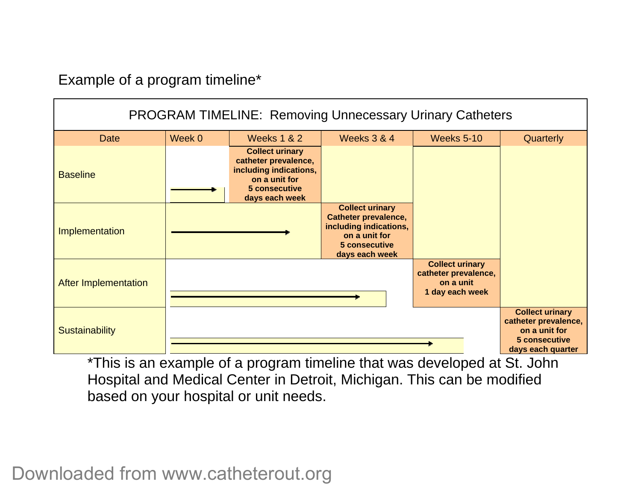Example of a program timeline\*

| <b>PROGRAM TIMELINE: Removing Unnecessary Urinary Catheters</b> |        |                                                                                                                              |                                                                                                                                     |                                                                                |                                                                                                       |
|-----------------------------------------------------------------|--------|------------------------------------------------------------------------------------------------------------------------------|-------------------------------------------------------------------------------------------------------------------------------------|--------------------------------------------------------------------------------|-------------------------------------------------------------------------------------------------------|
| <b>Date</b>                                                     | Week 0 | <b>Weeks 1 &amp; 2</b>                                                                                                       | <b>Weeks 3 &amp; 4</b>                                                                                                              | <b>Weeks 5-10</b>                                                              | Quarterly                                                                                             |
| <b>Baseline</b>                                                 |        | <b>Collect urinary</b><br>catheter prevalence,<br>including indications,<br>on a unit for<br>5 consecutive<br>days each week |                                                                                                                                     |                                                                                |                                                                                                       |
| Implementation                                                  |        |                                                                                                                              | <b>Collect urinary</b><br><b>Catheter prevalence,</b><br>including indications,<br>on a unit for<br>5 consecutive<br>days each week |                                                                                |                                                                                                       |
| <b>After Implementation</b>                                     |        |                                                                                                                              |                                                                                                                                     | <b>Collect urinary</b><br>catheter prevalence,<br>on a unit<br>1 day each week |                                                                                                       |
| <b>Sustainability</b>                                           |        |                                                                                                                              |                                                                                                                                     |                                                                                | <b>Collect urinary</b><br>catheter prevalence,<br>on a unit for<br>5 consecutive<br>days each quarter |

\*This is an example of a program timeline that was developed at St. John Hospital and Medical Center in Detroit, Michigan. This can be modified based on your hospital or unit needs.

Downloaded from www.catheterout.org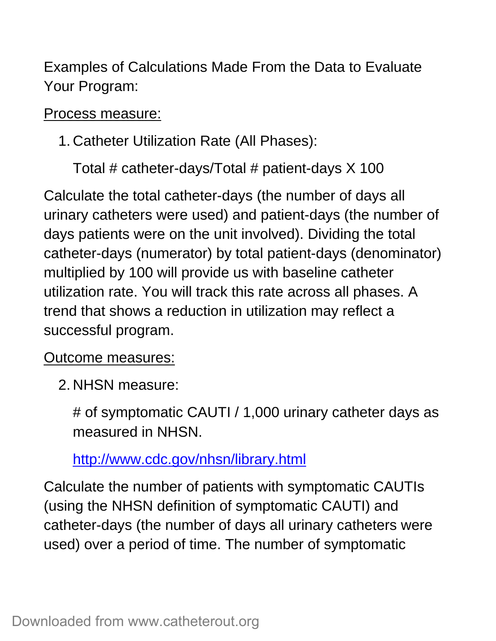Examples of Calculations Made From the Data to Evaluate Your Program:

### Process measure:

## 1. Catheter Utilization Rate (All Phases):

Total # catheter-days/Total # patient-days X 100

Calculate the total catheter-days (the number of days all urinary catheters were used) and patient-days (the number of days patients were on the unit involved). Dividing the total catheter-days (numerator) by total patient-days (denominator) multiplied by 100 will provide us with baseline catheter utilization rate. You will track this rate across all phases. A trend that shows a reduction in utilization may reflect a successful program.

### Outcome measures:

2. NHSN measure:

# of symptomatic CAUTI / 1,000 urinary catheter days as measured in NHSN.

http://www.cdc.gov/nhsn/library.html

Calculate the number of patients with symptomatic CAUTIs (using the NHSN definition of symptomatic CAUTI) and catheter-days (the number of days all urinary catheters were used) over a period of time. The number of symptomatic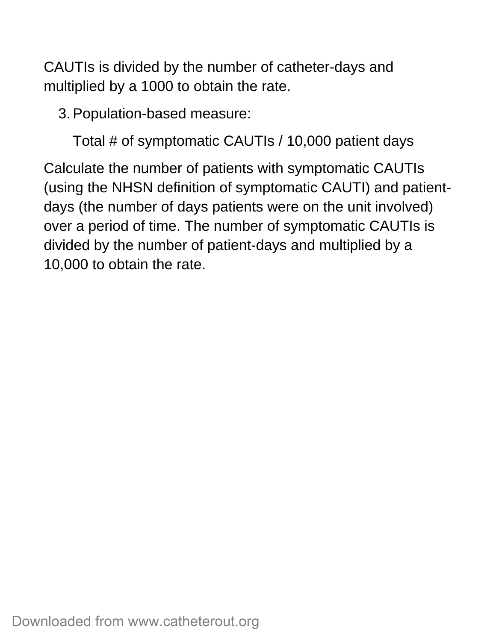CAUTIs is divided by the number of catheter-days and multiplied by a 1000 to obtain the rate.

3. Population-based measure:

Total # of symptomatic CAUTIs / 10,000 patient days

Calculate the number of patients with symptomatic CAUTIs (using the NHSN definition of symptomatic CAUTI) and patientdays (the number of days patients were on the unit involved) over a period of time. The number of symptomatic CAUTIs is divided by the number of patient-days and multiplied by a 10,000 to obtain the rate.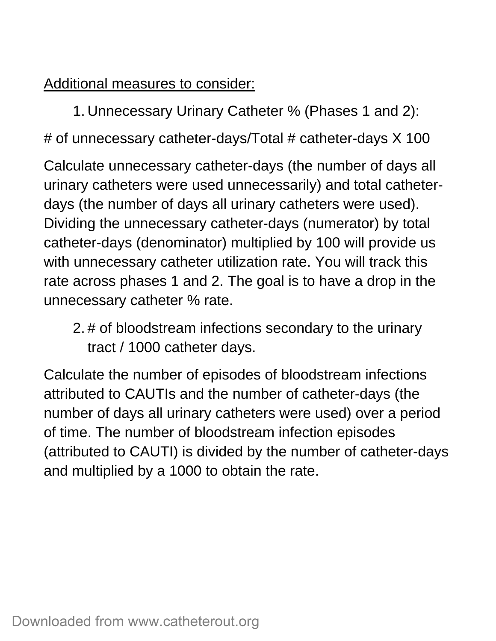Additional measures to consider:

1. Unnecessary Urinary Catheter % (Phases 1 and 2):

# of unnecessary catheter-days/Total # catheter-days X 100

Calculate unnecessary catheter-days (the number of days all urinary catheters were used unnecessarily) and total catheterdays (the number of days all urinary catheters were used). Dividing the unnecessary catheter-days (numerator) by total catheter-days (denominator) multiplied by 100 will provide us with unnecessary catheter utilization rate. You will track this rate across phases 1 and 2. The goal is to have a drop in the unnecessary catheter % rate.

2. # of bloodstream infections secondary to the urinary tract / 1000 catheter days.

Calculate the number of episodes of bloodstream infections attributed to CAUTIs and the number of catheter-days (the number of days all urinary catheters were used) over a period of time. The number of bloodstream infection episodes (attributed to CAUTI) is divided by the number of catheter-days and multiplied by a 1000 to obtain the rate.